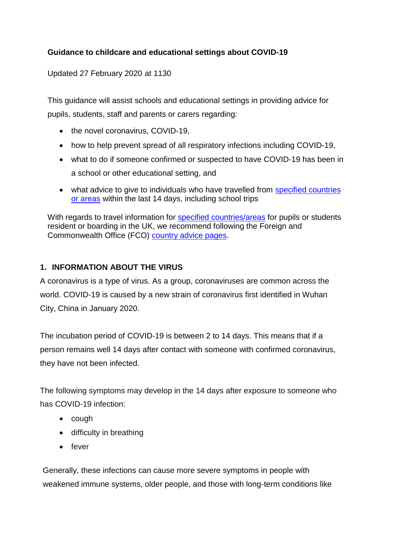## **Guidance to childcare and educational settings about COVID-19**

Updated 27 February 2020 at 1130

This guidance will assist schools and educational settings in providing advice for pupils, students, staff and parents or carers regarding:

- the novel coronavirus, COVID-19,
- how to help prevent spread of all respiratory infections including COVID-19,
- what to do if someone confirmed or suspected to have COVID-19 has been in a school or other educational setting, and
- what advice to give to individuals who have travelled from [specified countries](https://www.gov.uk/government/publications/covid-19-specified-countries-and-areas)  [or areas](https://www.gov.uk/government/publications/covid-19-specified-countries-and-areas) within the last 14 days, including school trips

With regards to travel information for [specified countries/areas](https://www.gov.uk/government/publications/covid-19-specified-countries-and-areas) for pupils or students resident or boarding in the UK, we recommend following the Foreign and Commonwealth Office (FCO) [country advice pages.](https://www.gov.uk/foreign-travel-advice)

### **1. INFORMATION ABOUT THE VIRUS**

A coronavirus is a type of virus. As a group, coronaviruses are common across the world. COVID-19 is caused by a new strain of coronavirus first identified in Wuhan City, China in January 2020.

The incubation period of COVID-19 is between 2 to 14 days. This means that if a person remains well 14 days after contact with someone with confirmed coronavirus, they have not been infected.

The following symptoms may develop in the 14 days after exposure to someone who has COVID-19 infection:

- $\bullet$  cough
- difficulty in breathing
- fever

Generally, these infections can cause more severe symptoms in people with weakened immune systems, older people, and those with long-term conditions like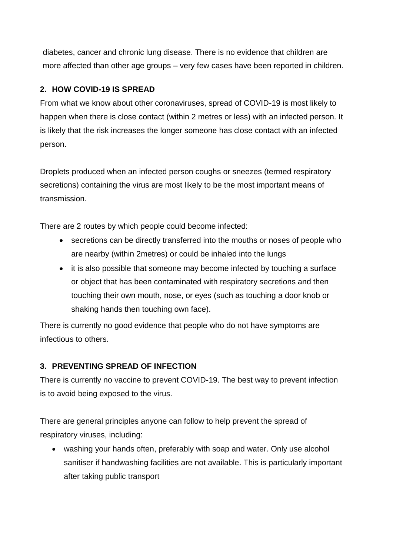diabetes, cancer and chronic lung disease. There is no evidence that children are more affected than other age groups – very few cases have been reported in children.

### **2. HOW COVID-19 IS SPREAD**

From what we know about other coronaviruses, spread of COVID-19 is most likely to happen when there is close contact (within 2 metres or less) with an infected person. It is likely that the risk increases the longer someone has close contact with an infected person.

Droplets produced when an infected person coughs or sneezes (termed respiratory secretions) containing the virus are most likely to be the most important means of transmission.

There are 2 routes by which people could become infected:

- secretions can be directly transferred into the mouths or noses of people who are nearby (within 2metres) or could be inhaled into the lungs
- it is also possible that someone may become infected by touching a surface or object that has been contaminated with respiratory secretions and then touching their own mouth, nose, or eyes (such as touching a door knob or shaking hands then touching own face).

There is currently no good evidence that people who do not have symptoms are infectious to others.

## **3. PREVENTING SPREAD OF INFECTION**

There is currently no vaccine to prevent COVID-19. The best way to prevent infection is to avoid being exposed to the virus.

There are general principles anyone can follow to help prevent the spread of respiratory viruses, including:

 washing your hands often, preferably with soap and water. Only use alcohol sanitiser if handwashing facilities are not available. This is particularly important after taking public transport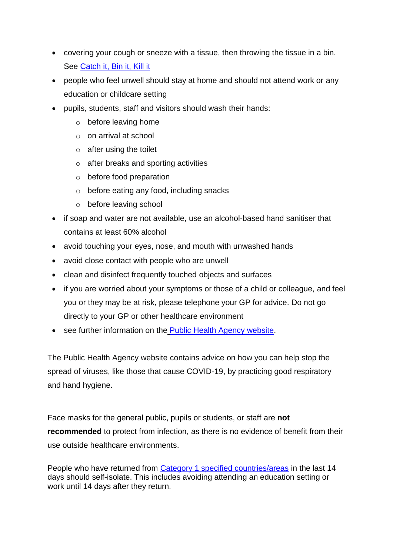- covering your cough or sneeze with a tissue, then throwing the tissue in a bin. See [Catch it, Bin it, Kill it](https://www.publichealth.hscni.net/sites/default/files/2020-02/Preventing%20spread%20poster%20140220.pdf)
- people who feel unwell should stay at home and should not attend work or any education or childcare setting
- pupils, students, staff and visitors should wash their hands:
	- o before leaving home
	- o on arrival at school
	- $\circ$  after using the toilet
	- o after breaks and sporting activities
	- o before food preparation
	- o before eating any food, including snacks
	- o before leaving school
- if soap and water are not available, use an alcohol-based hand sanitiser that contains at least 60% alcohol
- avoid touching your eyes, nose, and mouth with unwashed hands
- avoid close contact with people who are unwell
- clean and disinfect frequently touched objects and surfaces
- if you are worried about your symptoms or those of a child or colleague, and feel you or they may be at risk, please telephone your GP for advice. Do not go directly to your GP or other healthcare environment
- see further information on the [Public Health Agency website.](https://www.publichealth.hscni.net/news/covid-19-coronavirus)

The Public Health Agency website contains advice on how you can help stop the spread of viruses, like those that cause COVID-19, by practicing good respiratory and hand hygiene.

Face masks for the general public, pupils or students, or staff are **not recommended** to protect from infection, as there is no evidence of benefit from their use outside healthcare environments.

People who have returned from [Category 1 specified countries/areas](https://www.gov.uk/government/publications/covid-19-specified-countries-and-areas) in the last 14 days should self-isolate. This includes avoiding attending an education setting or work until 14 days after they return.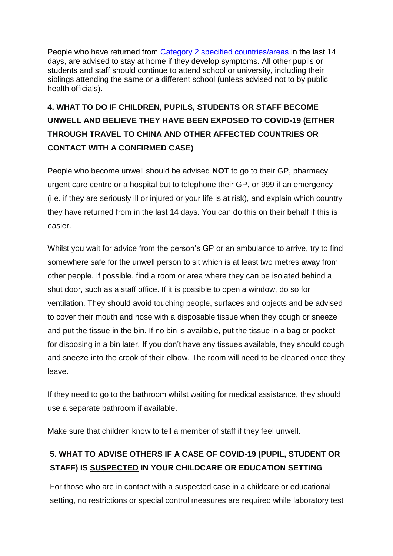People who have returned from [Category 2 specified countries/areas](https://www.gov.uk/government/publications/covid-19-specified-countries-and-areas) in the last 14 days, are advised to stay at home if they develop symptoms. All other pupils or students and staff should continue to attend school or university, including their siblings attending the same or a different school (unless advised not to by public health officials).

# **4. WHAT TO DO IF CHILDREN, PUPILS, STUDENTS OR STAFF BECOME UNWELL AND BELIEVE THEY HAVE BEEN EXPOSED TO COVID-19 (EITHER THROUGH TRAVEL TO CHINA AND OTHER AFFECTED COUNTRIES OR CONTACT WITH A CONFIRMED CASE)**

People who become unwell should be advised **NOT** to go to their GP, pharmacy, urgent care centre or a hospital but to telephone their GP, or 999 if an emergency (i.e. if they are seriously ill or injured or your life is at risk), and explain which country they have returned from in the last 14 days. You can do this on their behalf if this is easier.

Whilst you wait for advice from the person's GP or an ambulance to arrive, try to find somewhere safe for the unwell person to sit which is at least two metres away from other people. If possible, find a room or area where they can be isolated behind a shut door, such as a staff office. If it is possible to open a window, do so for ventilation. They should avoid touching people, surfaces and objects and be advised to cover their mouth and nose with a disposable tissue when they cough or sneeze and put the tissue in the bin. If no bin is available, put the tissue in a bag or pocket for disposing in a bin later. If you don't have any tissues available, they should cough and sneeze into the crook of their elbow. The room will need to be cleaned once they leave.

If they need to go to the bathroom whilst waiting for medical assistance, they should use a separate bathroom if available.

Make sure that children know to tell a member of staff if they feel unwell.

## **5. WHAT TO ADVISE OTHERS IF A CASE OF COVID-19 (PUPIL, STUDENT OR STAFF) IS SUSPECTED IN YOUR CHILDCARE OR EDUCATION SETTING**

For those who are in contact with a suspected case in a childcare or educational setting, no restrictions or special control measures are required while laboratory test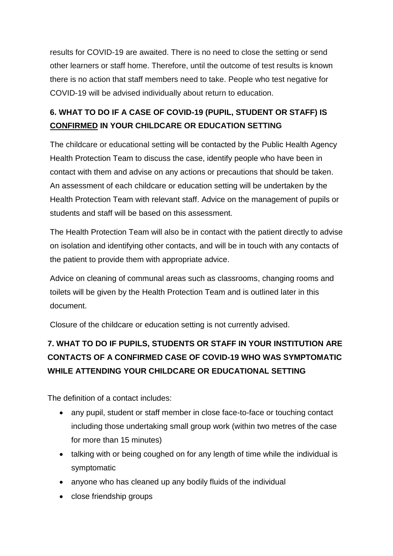results for COVID-19 are awaited. There is no need to close the setting or send other learners or staff home. Therefore, until the outcome of test results is known there is no action that staff members need to take. People who test negative for COVID-19 will be advised individually about return to education.

## **6. WHAT TO DO IF A CASE OF COVID-19 (PUPIL, STUDENT OR STAFF) IS CONFIRMED IN YOUR CHILDCARE OR EDUCATION SETTING**

The childcare or educational setting will be contacted by the Public Health Agency Health Protection Team to discuss the case, identify people who have been in contact with them and advise on any actions or precautions that should be taken. An assessment of each childcare or education setting will be undertaken by the Health Protection Team with relevant staff. Advice on the management of pupils or students and staff will be based on this assessment.

The Health Protection Team will also be in contact with the patient directly to advise on isolation and identifying other contacts, and will be in touch with any contacts of the patient to provide them with appropriate advice.

Advice on cleaning of communal areas such as classrooms, changing rooms and toilets will be given by the Health Protection Team and is outlined later in this document.

Closure of the childcare or education setting is not currently advised.

## **7. WHAT TO DO IF PUPILS, STUDENTS OR STAFF IN YOUR INSTITUTION ARE CONTACTS OF A CONFIRMED CASE OF COVID-19 WHO WAS SYMPTOMATIC WHILE ATTENDING YOUR CHILDCARE OR EDUCATIONAL SETTING**

The definition of a contact includes:

- any pupil, student or staff member in close face-to-face or touching contact including those undertaking small group work (within two metres of the case for more than 15 minutes)
- talking with or being coughed on for any length of time while the individual is symptomatic
- anyone who has cleaned up any bodily fluids of the individual
- close friendship groups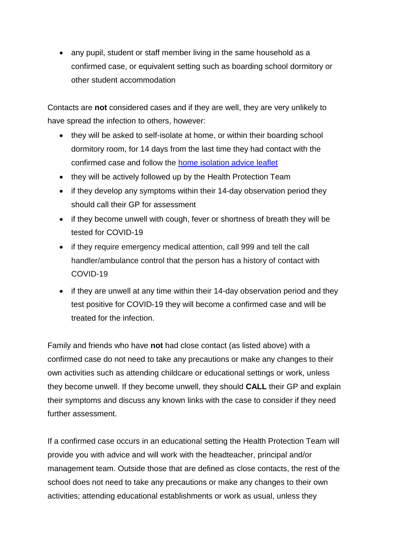• any pupil, student or staff member living in the same household as a confirmed case, or equivalent setting such as boarding school dormitory or other student accommodation

Contacts are **not** considered cases and if they are well, they are very unlikely to have spread the infection to others, however:

- they will be asked to self-isolate at home, or within their boarding school dormitory room, for 14 days from the last time they had contact with the confirmed case and follow the [home isolation advice leaflet](https://www.gov.uk/government/publications/wuhan-novel-coronavirus-self-isolation-for-patients-undergoing-testing/advice-sheet-home-isolation)
- they will be actively followed up by the Health Protection Team
- if they develop any symptoms within their 14-day observation period they should call their GP for assessment
- if they become unwell with cough, fever or shortness of breath they will be tested for COVID-19
- if they require emergency medical attention, call 999 and tell the call handler/ambulance control that the person has a history of contact with COVID-19
- if they are unwell at any time within their 14-day observation period and they test positive for COVID-19 they will become a confirmed case and will be treated for the infection.

Family and friends who have **not** had close contact (as listed above) with a confirmed case do not need to take any precautions or make any changes to their own activities such as attending childcare or educational settings or work, unless they become unwell. If they become unwell, they should **CALL** their GP and explain their symptoms and discuss any known links with the case to consider if they need further assessment.

If a confirmed case occurs in an educational setting the Health Protection Team will provide you with advice and will work with the headteacher, principal and/or management team. Outside those that are defined as close contacts, the rest of the school does not need to take any precautions or make any changes to their own activities; attending educational establishments or work as usual, unless they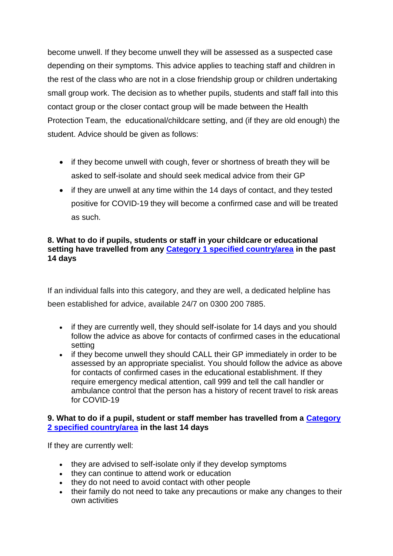become unwell. If they become unwell they will be assessed as a suspected case depending on their symptoms. This advice applies to teaching staff and children in the rest of the class who are not in a close friendship group or children undertaking small group work. The decision as to whether pupils, students and staff fall into this contact group or the closer contact group will be made between the Health Protection Team, the educational/childcare setting, and (if they are old enough) the student. Advice should be given as follows:

- if they become unwell with cough, fever or shortness of breath they will be asked to self-isolate and should seek medical advice from their GP
- if they are unwell at any time within the 14 days of contact, and they tested positive for COVID-19 they will become a confirmed case and will be treated as such.

#### **8. What to do if pupils, students or staff in your childcare or educational setting have travelled from any [Category 1 specified country/area](https://www.gov.uk/government/publications/covid-19-specified-countries-and-areas/covid-19-specified-countries-and-areas-with-implications-for-returning-travellers-or-visitors-arriving-in-the-uk) in the past 14 days**

If an individual falls into this category, and they are well, a dedicated helpline has been established for advice, available 24/7 on 0300 200 7885.

- if they are currently well, they should self-isolate for 14 days and you should follow the advice as above for contacts of confirmed cases in the educational setting
- if they become unwell they should CALL their GP immediately in order to be assessed by an appropriate specialist. You should follow the advice as above for contacts of confirmed cases in the educational establishment. If they require emergency medical attention, call 999 and tell the call handler or ambulance control that the person has a history of recent travel to risk areas for COVID-19

#### **9. What to do if a pupil, student or staff member has travelled from a [Category](https://www.gov.uk/government/publications/covid-19-specified-countries-and-areas/covid-19-specified-countries-and-areas-with-implications-for-returning-travellers-or-visitors-arriving-in-the-uk)  [2 specified country/area](https://www.gov.uk/government/publications/covid-19-specified-countries-and-areas/covid-19-specified-countries-and-areas-with-implications-for-returning-travellers-or-visitors-arriving-in-the-uk) in the last 14 days**

If they are currently well:

- they are advised to self-isolate only if they develop symptoms
- they can continue to attend work or education
- they do not need to avoid contact with other people
- their family do not need to take any precautions or make any changes to their own activities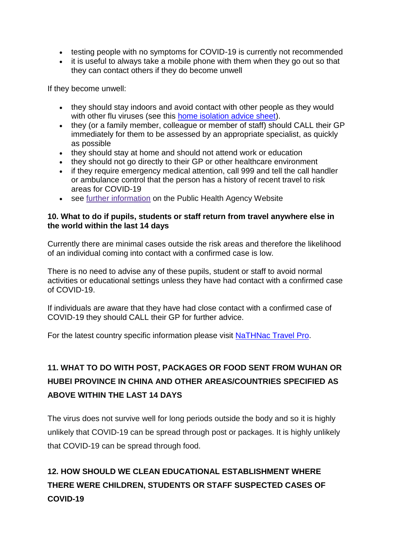- testing people with no symptoms for COVID-19 is currently not recommended
- it is useful to always take a mobile phone with them when they go out so that they can contact others if they do become unwell

If they become unwell:

- they should stay indoors and avoid contact with other people as they would with other flu viruses (see this [home isolation advice sheet\)](https://www.gov.uk/government/publications/wuhan-novel-coronavirus-self-isolation-for-patients-undergoing-testing/advice-sheet-home-isolation).
- they (or a family member, colleague or member of staff) should CALL their GP immediately for them to be assessed by an appropriate specialist, as quickly as possible
- they should stay at home and should not attend work or education
- they should not go directly to their GP or other healthcare environment
- if they require emergency medical attention, call 999 and tell the call handler or ambulance control that the person has a history of recent travel to risk areas for COVID-19
- see further [information](https://www.publichealth.hscni.net/news/covid-19-coronavirus) on the Public Health Agency Website

#### **10. What to do if pupils, students or staff return from travel anywhere else in the world within the last 14 days**

Currently there are minimal cases outside the risk areas and therefore the likelihood of an individual coming into contact with a confirmed case is low.

There is no need to advise any of these pupils, student or staff to avoid normal activities or educational settings unless they have had contact with a confirmed case of COVID-19.

If individuals are aware that they have had close contact with a confirmed case of COVID-19 they should CALL their GP for further advice.

For the latest country specific information please visit [NaTHNac Travel Pro.](https://travelhealthpro.org.uk/countries)

## **11. WHAT TO DO WITH POST, PACKAGES OR FOOD SENT FROM WUHAN OR HUBEI PROVINCE IN CHINA AND OTHER AREAS/COUNTRIES SPECIFIED AS ABOVE WITHIN THE LAST 14 DAYS**

The virus does not survive well for long periods outside the body and so it is highly unlikely that COVID-19 can be spread through post or packages. It is highly unlikely that COVID-19 can be spread through food.

# **12. HOW SHOULD WE CLEAN EDUCATIONAL ESTABLISHMENT WHERE THERE WERE CHILDREN, STUDENTS OR STAFF SUSPECTED CASES OF COVID-19**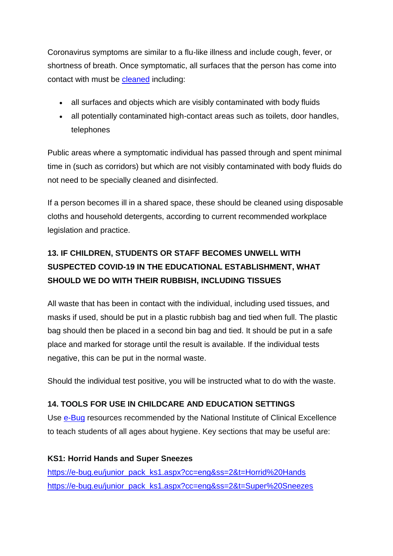Coronavirus symptoms are similar to a flu-like illness and include cough, fever, or shortness of breath. Once symptomatic, all surfaces that the person has come into contact with must be [cleaned](https://www.gov.uk/government/publications/novel-coronavirus-2019-ncov-guidance-to-assist-professionals-in-advising-the-general-public/guidance-to-assist-professionals-in-advising-the-general-public#cleaning-shared-spaces) including:

- all surfaces and objects which are visibly contaminated with body fluids
- all potentially contaminated high-contact areas such as toilets, door handles, telephones

Public areas where a symptomatic individual has passed through and spent minimal time in (such as corridors) but which are not visibly contaminated with body fluids do not need to be specially cleaned and disinfected.

If a person becomes ill in a shared space, these should be cleaned using disposable cloths and household detergents, according to current recommended workplace legislation and practice.

## **13. IF CHILDREN, STUDENTS OR STAFF BECOMES UNWELL WITH SUSPECTED COVID-19 IN THE EDUCATIONAL ESTABLISHMENT, WHAT SHOULD WE DO WITH THEIR RUBBISH, INCLUDING TISSUES**

All waste that has been in contact with the individual, including used tissues, and masks if used, should be put in a plastic rubbish bag and tied when full. The plastic bag should then be placed in a second bin bag and tied. It should be put in a safe place and marked for storage until the result is available. If the individual tests negative, this can be put in the normal waste.

Should the individual test positive, you will be instructed what to do with the waste.

## **14. TOOLS FOR USE IN CHILDCARE AND EDUCATION SETTINGS**

Use [e-Bug](http://www.e-bug.eu/) resources recommended by the National Institute of Clinical Excellence to teach students of all ages about hygiene. Key sections that may be useful are:

**KS1: Horrid Hands and Super Sneezes** [https://e-bug.eu/junior\\_pack\\_ks1.aspx?cc=eng&ss=2&t=Horrid%20Hands](https://e-bug.eu/junior_pack_ks1.aspx?cc=eng&ss=2&t=Horrid%20Hands) [https://e-bug.eu/junior\\_pack\\_ks1.aspx?cc=eng&ss=2&t=Super%20Sneezes](https://e-bug.eu/junior_pack_ks1.aspx?cc=eng&ss=2&t=Super%20Sneezes)